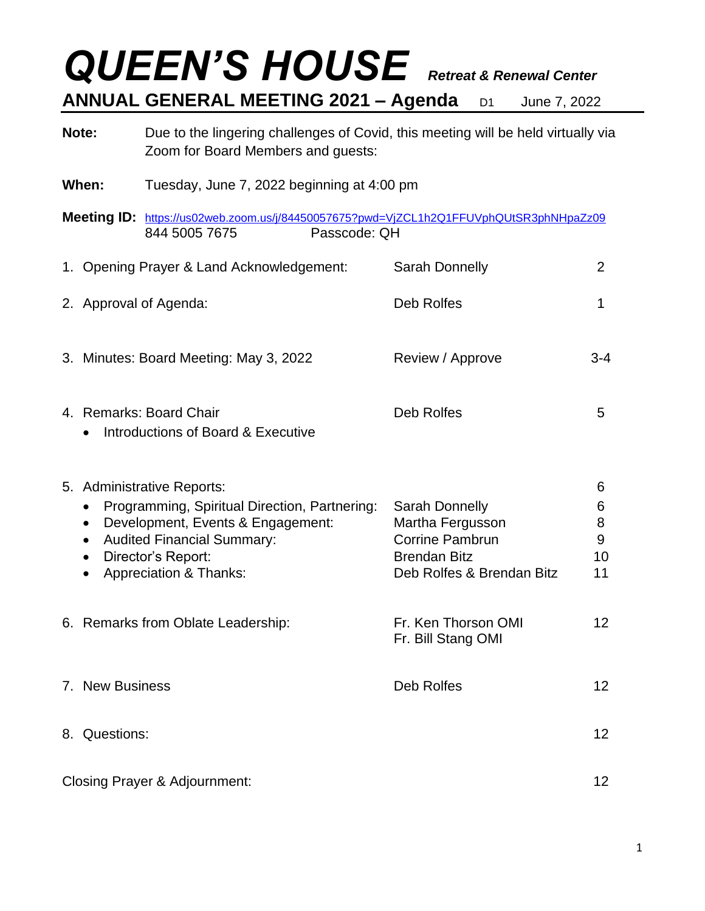## *QUEEN'S HOUSE Retreat & Renewal Center* **ANNUAL GENERAL MEETING 2021 – Agenda** D1 June 7, 2022

**Note:** Due to the lingering challenges of Covid, this meeting will be held virtually via Zoom for Board Members and guests:

- **When:** Tuesday, June 7, 2022 beginning at 4:00 pm
- **Meeting ID:** <https://us02web.zoom.us/j/84450057675?pwd=VjZCL1h2Q1FFUVphQUtSR3phNHpaZz09> 844 5005 7675 Passcode: QH 1. Opening Prayer & Land Acknowledgement: Sarah Donnelly 2 2. Approval of Agenda: Carried and Carried Control Deb Rolfes 1 3. Minutes: Board Meeting: May 3, 2022 Review / Approve 3-4
- 4. Remarks: Board Chair **Chair Chair Chair Chair Chair** *S* • Introductions of Board & Executive

|                                                            |                                                                                                                                       | 6                                                       |
|------------------------------------------------------------|---------------------------------------------------------------------------------------------------------------------------------------|---------------------------------------------------------|
| Programming, Spiritual Direction, Partnering:<br>$\bullet$ | Sarah Donnelly                                                                                                                        | 6                                                       |
| Development, Events & Engagement:<br>$\bullet$             | Martha Fergusson                                                                                                                      | 8                                                       |
| <b>Audited Financial Summary:</b><br>$\bullet$             | <b>Corrine Pambrun</b>                                                                                                                | 9                                                       |
| Director's Report:<br>$\bullet$                            | <b>Brendan Bitz</b>                                                                                                                   | 10                                                      |
| <b>Appreciation &amp; Thanks:</b>                          | Deb Rolfes & Brendan Bitz                                                                                                             | 11                                                      |
|                                                            |                                                                                                                                       |                                                         |
|                                                            |                                                                                                                                       | 12                                                      |
|                                                            |                                                                                                                                       |                                                         |
|                                                            |                                                                                                                                       | 12                                                      |
|                                                            |                                                                                                                                       |                                                         |
|                                                            |                                                                                                                                       | 12                                                      |
|                                                            |                                                                                                                                       |                                                         |
|                                                            |                                                                                                                                       | 12                                                      |
|                                                            | 5. Administrative Reports:<br>6. Remarks from Oblate Leadership:<br>7. New Business<br>8. Questions:<br>Closing Prayer & Adjournment: | Fr. Ken Thorson OMI<br>Fr. Bill Stang OMI<br>Deb Rolfes |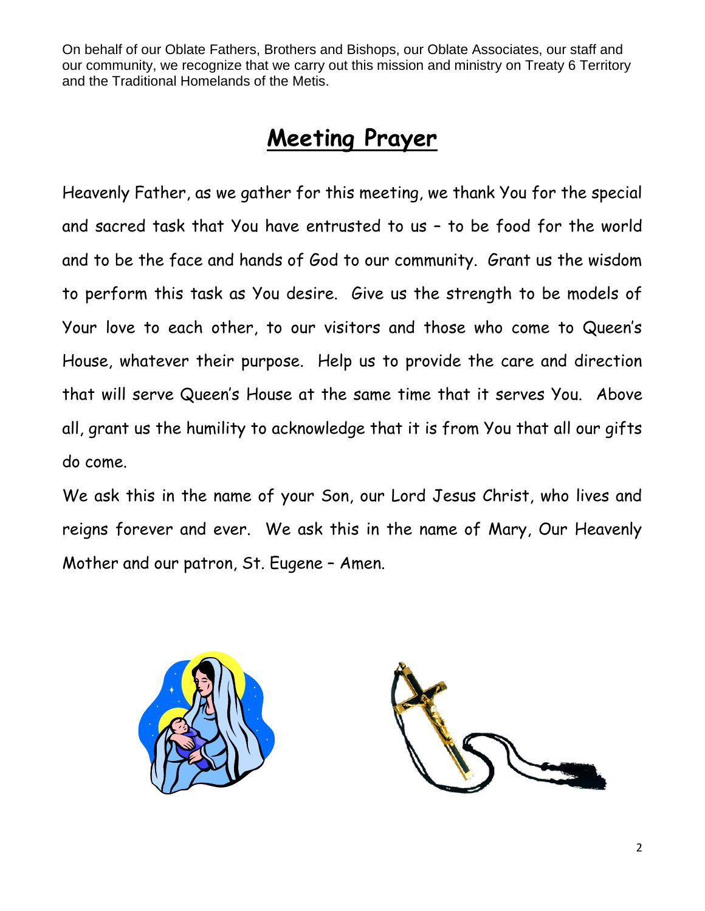On behalf of our Oblate Fathers, Brothers and Bishops, our Oblate Associates, our staff and our community, we recognize that we carry out this mission and ministry on Treaty 6 Territory and the Traditional Homelands of the Metis.

### **Meeting Prayer**

Heavenly Father, as we gather for this meeting, we thank You for the special and sacred task that You have entrusted to us – to be food for the world and to be the face and hands of God to our community. Grant us the wisdom to perform this task as You desire. Give us the strength to be models of Your love to each other, to our visitors and those who come to Queen's House, whatever their purpose. Help us to provide the care and direction that will serve Queen's House at the same time that it serves You. Above all, grant us the humility to acknowledge that it is from You that all our gifts do come.

We ask this in the name of your Son, our Lord Jesus Christ, who lives and reigns forever and ever. We ask this in the name of Mary, Our Heavenly Mother and our patron, St. Eugene – Amen.

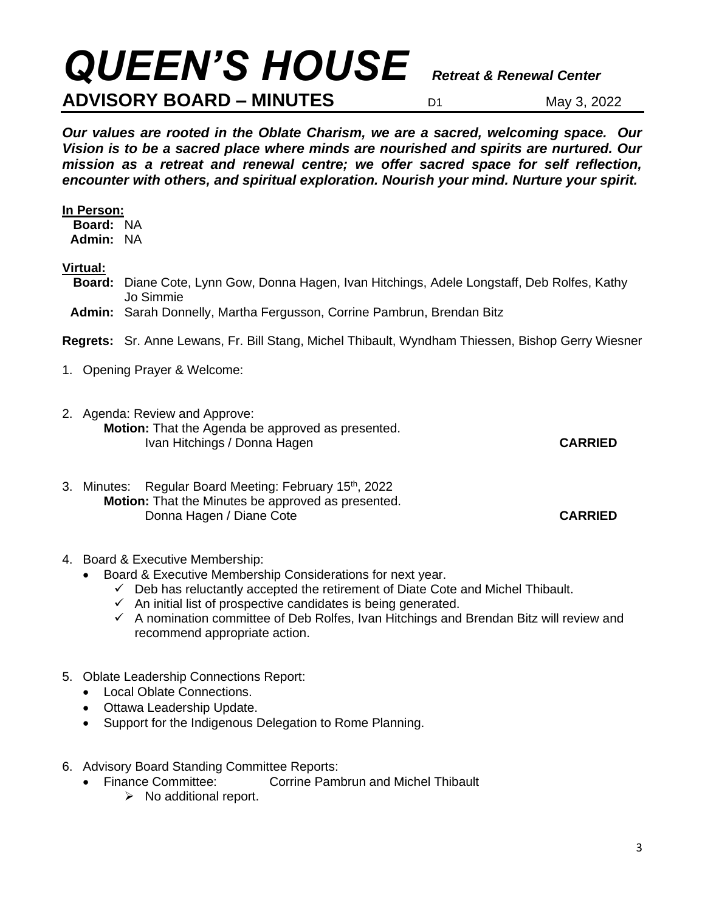# *QUEEN'S HOUSE Retreat & Renewal Center*

#### **ADVISORY BOARD – MINUTES** D1 May 3, 2022

*Our values are rooted in the Oblate Charism, we are a sacred, welcoming space. Our Vision is to be a sacred place where minds are nourished and spirits are nurtured. Our mission as a retreat and renewal centre; we offer sacred space for self reflection, encounter with others, and spiritual exploration. Nourish your mind. Nurture your spirit.*

#### **In Person:**

**Board:** NA **Admin:** NA

#### **Virtual:**

- **Board:** Diane Cote, Lynn Gow, Donna Hagen, Ivan Hitchings, Adele Longstaff, Deb Rolfes, Kathy Jo Simmie
- **Admin:** Sarah Donnelly, Martha Fergusson, Corrine Pambrun, Brendan Bitz

**Regrets:** Sr. Anne Lewans, Fr. Bill Stang, Michel Thibault, Wyndham Thiessen, Bishop Gerry Wiesner

- 1. Opening Prayer & Welcome:
- 2. Agenda: Review and Approve: **Motion:** That the Agenda be approved as presented. Ivan Hitchings / Donna Hagen **CARRIED**
- 3. Minutes: Regular Board Meeting: February 15<sup>th</sup>, 2022 **Motion:** That the Minutes be approved as presented. Donna Hagen / Diane Cote **CARRIED**
- 4. Board & Executive Membership:
	- Board & Executive Membership Considerations for next year.
		- $\checkmark$  Deb has reluctantly accepted the retirement of Diate Cote and Michel Thibault.
		- $\checkmark$  An initial list of prospective candidates is being generated.
		- $\checkmark$  A nomination committee of Deb Rolfes, Ivan Hitchings and Brendan Bitz will review and recommend appropriate action.
- 5. Oblate Leadership Connections Report:
	- Local Oblate Connections.
	- Ottawa Leadership Update.
	- Support for the Indigenous Delegation to Rome Planning.
- 6. Advisory Board Standing Committee Reports:
	- Finance Committee: Corrine Pambrun and Michel Thibault
		- ➢ No additional report.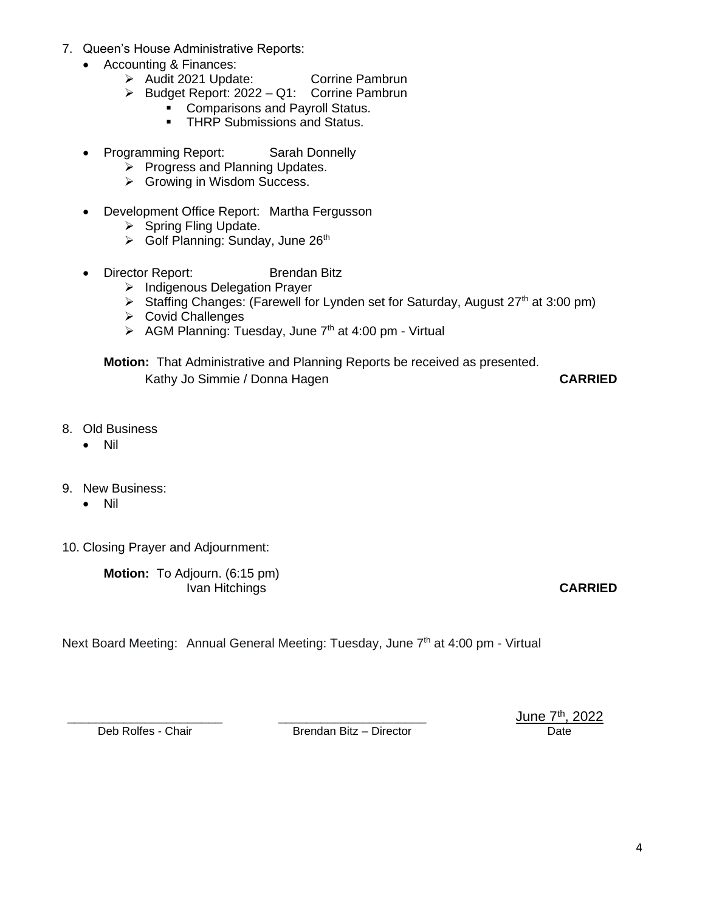- 7. Queen's House Administrative Reports:
	- Accounting & Finances:
		- ➢ Audit 2021 Update: Corrine Pambrun
		- ➢ Budget Report: 2022 Q1: Corrine Pambrun
			- **Comparisons and Payroll Status.**
			- **THRP Submissions and Status.**
	- Programming Report: Sarah Donnelly
		- ➢ Progress and Planning Updates.
		- ➢ Growing in Wisdom Success.
	- Development Office Report: Martha Fergusson
		- ➢ Spring Fling Update.
		- ➢ Golf Planning: Sunday, June 26th
	- Director Report: Brendan Bitz
		- ➢ Indigenous Delegation Prayer
		- ➢ Staffing Changes: (Farewell for Lynden set for Saturday, August 27th at 3:00 pm)
		- ➢ Covid Challenges
		- $\triangleright$  AGM Planning: Tuesday, June 7<sup>th</sup> at 4:00 pm Virtual

**Motion:** That Administrative and Planning Reports be received as presented. Kathy Jo Simmie / Donna Hagen **CARRIED**

- 8. Old Business
	- Nil
- 9. New Business:
	- Nil
- 10. Closing Prayer and Adjournment:

**Motion:** To Adjourn. (6:15 pm) Ivan Hitchings **CARRIED**

Next Board Meeting: Annual General Meeting: Tuesday, June 7<sup>th</sup> at 4:00 pm - Virtual

Brendan Bitz – Director Date

Deb Rolfes - Chair **Deb Rolfes - Chair Deb Rolfes - Chair Deb Rolfes - Chair Date Director Date Director Date**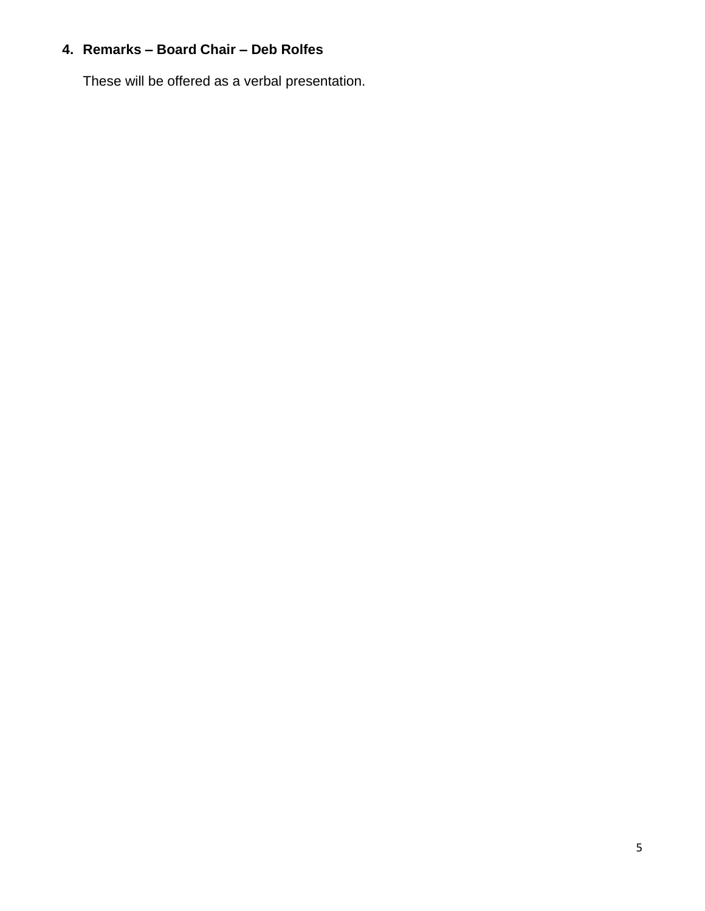#### **4. Remarks – Board Chair – Deb Rolfes**

These will be offered as a verbal presentation.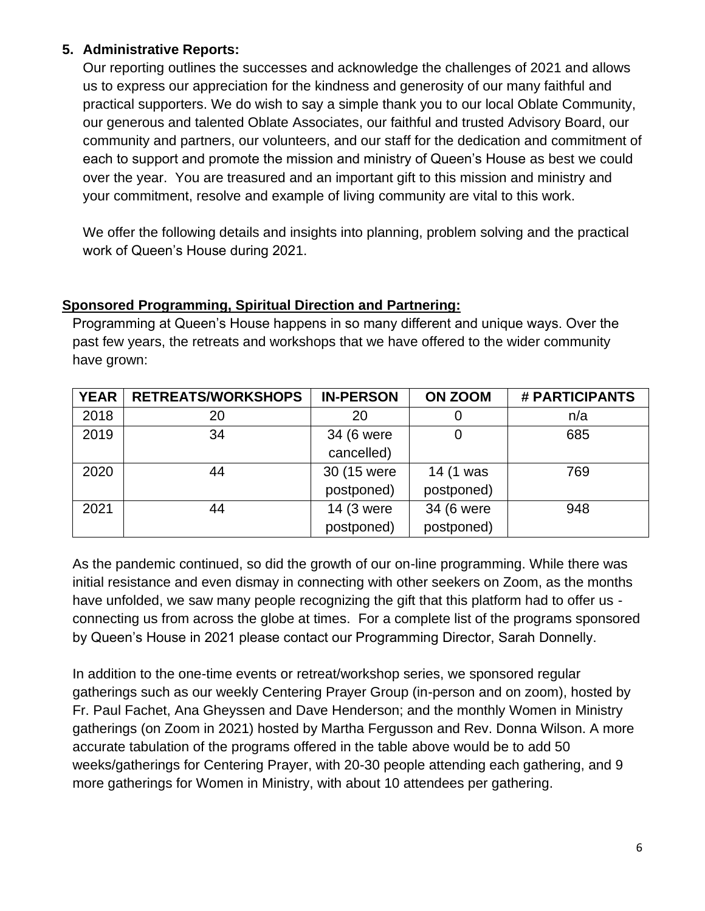#### **5. Administrative Reports:**

Our reporting outlines the successes and acknowledge the challenges of 2021 and allows us to express our appreciation for the kindness and generosity of our many faithful and practical supporters. We do wish to say a simple thank you to our local Oblate Community, our generous and talented Oblate Associates, our faithful and trusted Advisory Board, our community and partners, our volunteers, and our staff for the dedication and commitment of each to support and promote the mission and ministry of Queen's House as best we could over the year. You are treasured and an important gift to this mission and ministry and your commitment, resolve and example of living community are vital to this work.

We offer the following details and insights into planning, problem solving and the practical work of Queen's House during 2021.

#### **Sponsored Programming, Spiritual Direction and Partnering:**

Programming at Queen's House happens in so many different and unique ways. Over the past few years, the retreats and workshops that we have offered to the wider community have grown:

| <b>YEAR</b> | <b>RETREATS/WORKSHOPS</b> | <b>IN-PERSON</b> | <b>ON ZOOM</b> | # PARTICIPANTS |
|-------------|---------------------------|------------------|----------------|----------------|
| 2018        | 20                        | 20               |                | n/a            |
| 2019        | 34                        | 34 (6 were       |                | 685            |
|             |                           | cancelled)       |                |                |
| 2020        | 44                        | 30 (15 were      | 14 (1 was      | 769            |
|             |                           | postponed)       | postponed)     |                |
| 2021        | 44                        | 14 (3 were       | 34 (6 were     | 948            |
|             |                           | postponed)       | postponed)     |                |

As the pandemic continued, so did the growth of our on-line programming. While there was initial resistance and even dismay in connecting with other seekers on Zoom, as the months have unfolded, we saw many people recognizing the gift that this platform had to offer us connecting us from across the globe at times. For a complete list of the programs sponsored by Queen's House in 2021 please contact our Programming Director, Sarah Donnelly.

In addition to the one-time events or retreat/workshop series, we sponsored regular gatherings such as our weekly Centering Prayer Group (in-person and on zoom), hosted by Fr. Paul Fachet, Ana Gheyssen and Dave Henderson; and the monthly Women in Ministry gatherings (on Zoom in 2021) hosted by Martha Fergusson and Rev. Donna Wilson. A more accurate tabulation of the programs offered in the table above would be to add 50 weeks/gatherings for Centering Prayer, with 20-30 people attending each gathering, and 9 more gatherings for Women in Ministry, with about 10 attendees per gathering.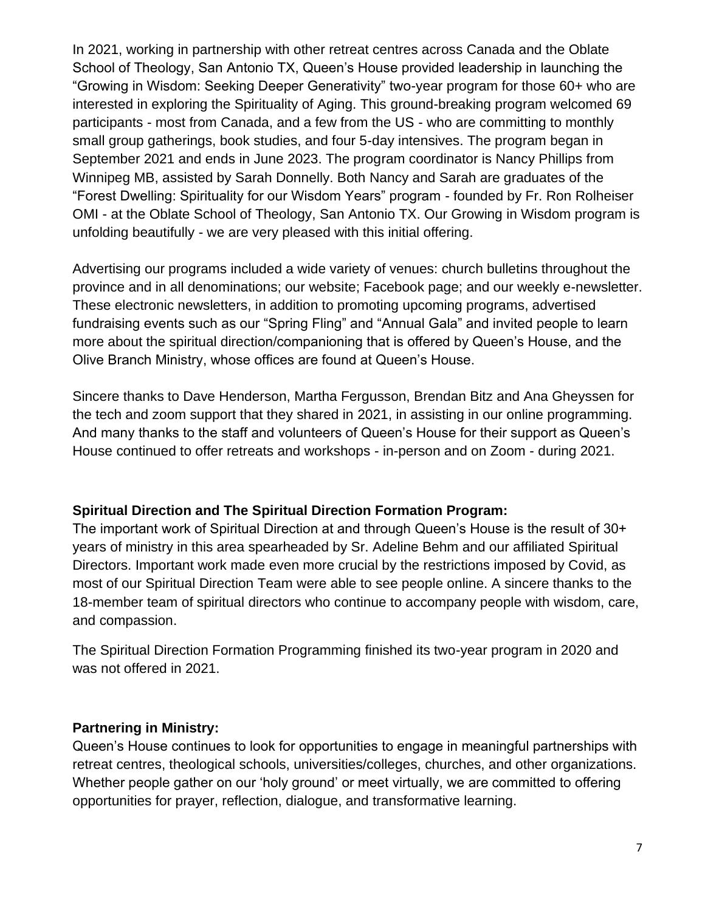In 2021, working in partnership with other retreat centres across Canada and the Oblate School of Theology, San Antonio TX, Queen's House provided leadership in launching the "Growing in Wisdom: Seeking Deeper Generativity" two-year program for those 60+ who are interested in exploring the Spirituality of Aging. This ground-breaking program welcomed 69 participants - most from Canada, and a few from the US - who are committing to monthly small group gatherings, book studies, and four 5-day intensives. The program began in September 2021 and ends in June 2023. The program coordinator is Nancy Phillips from Winnipeg MB, assisted by Sarah Donnelly. Both Nancy and Sarah are graduates of the "Forest Dwelling: Spirituality for our Wisdom Years" program - founded by Fr. Ron Rolheiser OMI - at the Oblate School of Theology, San Antonio TX. Our Growing in Wisdom program is unfolding beautifully - we are very pleased with this initial offering.

Advertising our programs included a wide variety of venues: church bulletins throughout the province and in all denominations; our website; Facebook page; and our weekly e-newsletter. These electronic newsletters, in addition to promoting upcoming programs, advertised fundraising events such as our "Spring Fling" and "Annual Gala" and invited people to learn more about the spiritual direction/companioning that is offered by Queen's House, and the Olive Branch Ministry, whose offices are found at Queen's House.

Sincere thanks to Dave Henderson, Martha Fergusson, Brendan Bitz and Ana Gheyssen for the tech and zoom support that they shared in 2021, in assisting in our online programming. And many thanks to the staff and volunteers of Queen's House for their support as Queen's House continued to offer retreats and workshops - in-person and on Zoom - during 2021.

#### **Spiritual Direction and The Spiritual Direction Formation Program:**

The important work of Spiritual Direction at and through Queen's House is the result of 30+ years of ministry in this area spearheaded by Sr. Adeline Behm and our affiliated Spiritual Directors. Important work made even more crucial by the restrictions imposed by Covid, as most of our Spiritual Direction Team were able to see people online. A sincere thanks to the 18-member team of spiritual directors who continue to accompany people with wisdom, care, and compassion.

The Spiritual Direction Formation Programming finished its two-year program in 2020 and was not offered in 2021.

#### **Partnering in Ministry:**

Queen's House continues to look for opportunities to engage in meaningful partnerships with retreat centres, theological schools, universities/colleges, churches, and other organizations. Whether people gather on our 'holy ground' or meet virtually, we are committed to offering opportunities for prayer, reflection, dialogue, and transformative learning.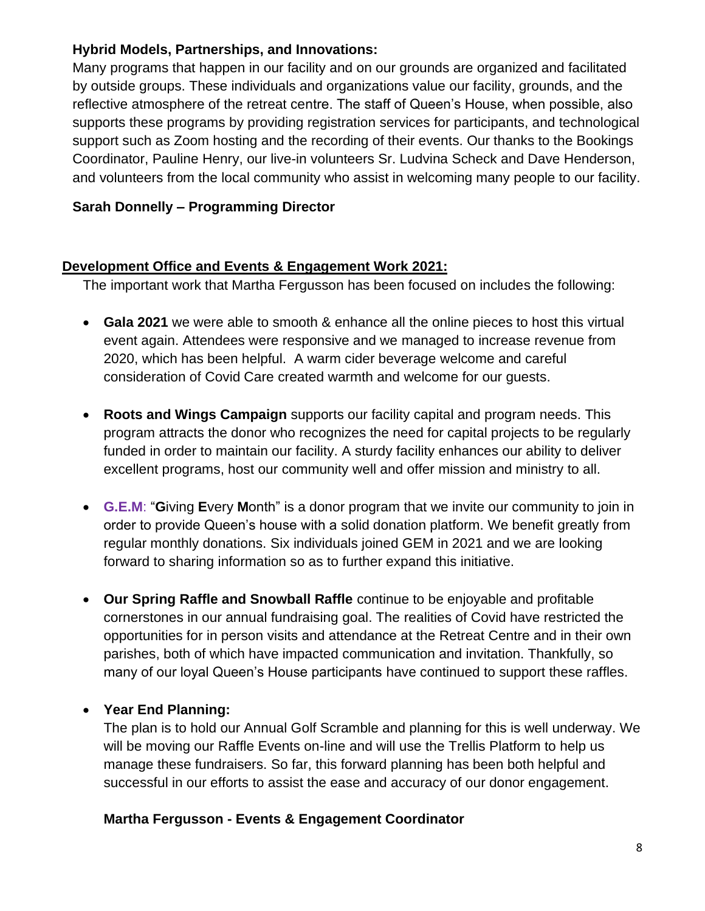#### **Hybrid Models, Partnerships, and Innovations:**

Many programs that happen in our facility and on our grounds are organized and facilitated by outside groups. These individuals and organizations value our facility, grounds, and the reflective atmosphere of the retreat centre. The staff of Queen's House, when possible, also supports these programs by providing registration services for participants, and technological support such as Zoom hosting and the recording of their events. Our thanks to the Bookings Coordinator, Pauline Henry, our live-in volunteers Sr. Ludvina Scheck and Dave Henderson, and volunteers from the local community who assist in welcoming many people to our facility.

#### **Sarah Donnelly – Programming Director**

#### **Development Office and Events & Engagement Work 2021:**

The important work that Martha Fergusson has been focused on includes the following:

- **Gala 2021** we were able to smooth & enhance all the online pieces to host this virtual event again. Attendees were responsive and we managed to increase revenue from 2020, which has been helpful. A warm cider beverage welcome and careful consideration of Covid Care created warmth and welcome for our guests.
- **Roots and Wings Campaign** supports our facility capital and program needs. This program attracts the donor who recognizes the need for capital projects to be regularly funded in order to maintain our facility. A sturdy facility enhances our ability to deliver excellent programs, host our community well and offer mission and ministry to all.
- **G.E.M**: "**G**iving **E**very **M**onth" is a donor program that we invite our community to join in order to provide Queen's house with a solid donation platform. We benefit greatly from regular monthly donations. Six individuals joined GEM in 2021 and we are looking forward to sharing information so as to further expand this initiative.
- **Our Spring Raffle and Snowball Raffle** continue to be enjoyable and profitable cornerstones in our annual fundraising goal. The realities of Covid have restricted the opportunities for in person visits and attendance at the Retreat Centre and in their own parishes, both of which have impacted communication and invitation. Thankfully, so many of our loyal Queen's House participants have continued to support these raffles.

#### • **Year End Planning:**

The plan is to hold our Annual Golf Scramble and planning for this is well underway. We will be moving our Raffle Events on-line and will use the Trellis Platform to help us manage these fundraisers. So far, this forward planning has been both helpful and successful in our efforts to assist the ease and accuracy of our donor engagement.

#### **Martha Fergusson - Events & Engagement Coordinator**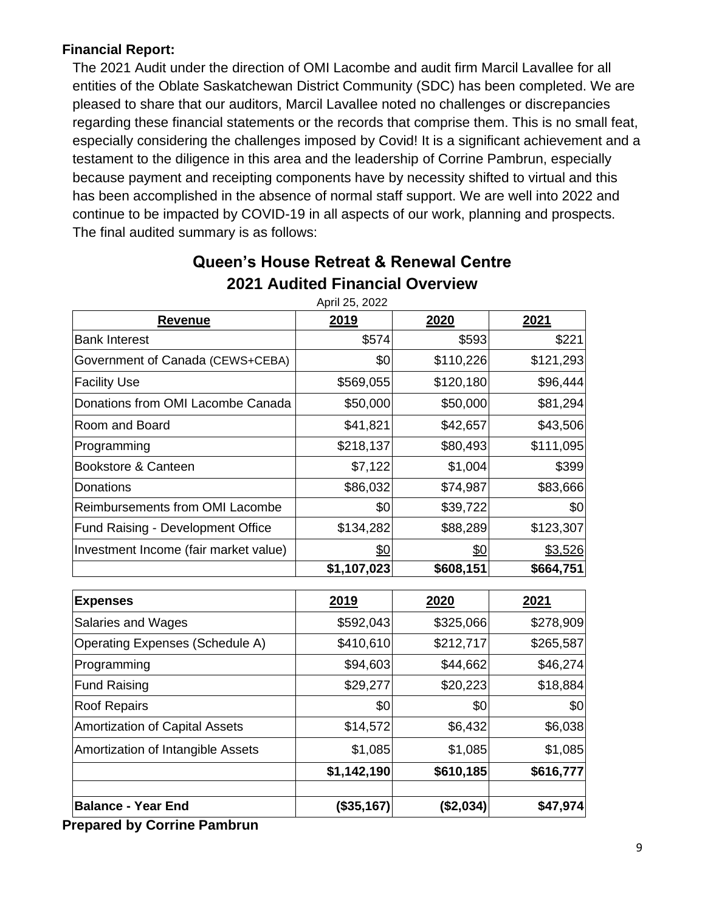#### **Financial Report:**

The 2021 Audit under the direction of OMI Lacombe and audit firm Marcil Lavallee for all entities of the Oblate Saskatchewan District Community (SDC) has been completed. We are pleased to share that our auditors, Marcil Lavallee noted no challenges or discrepancies regarding these financial statements or the records that comprise them. This is no small feat, especially considering the challenges imposed by Covid! It is a significant achievement and a testament to the diligence in this area and the leadership of Corrine Pambrun, especially because payment and receipting components have by necessity shifted to virtual and this has been accomplished in the absence of normal staff support. We are well into 2022 and continue to be impacted by COVID-19 in all aspects of our work, planning and prospects. The final audited summary is as follows:

| April 25, 2022                         |             |           |           |  |  |
|----------------------------------------|-------------|-----------|-----------|--|--|
| <b>Revenue</b>                         | 2019        | 2020      | 2021      |  |  |
| <b>Bank Interest</b>                   | \$574       | \$593     | \$221     |  |  |
| Government of Canada (CEWS+CEBA)       | \$0         | \$110,226 | \$121,293 |  |  |
| <b>Facility Use</b>                    | \$569,055   | \$120,180 | \$96,444  |  |  |
| Donations from OMI Lacombe Canada      | \$50,000    | \$50,000  | \$81,294  |  |  |
| Room and Board                         | \$41,821    | \$42,657  | \$43,506  |  |  |
| Programming                            | \$218,137   | \$80,493  | \$111,095 |  |  |
| Bookstore & Canteen                    | \$7,122     | \$1,004   | \$399     |  |  |
| Donations                              | \$86,032    | \$74,987  | \$83,666  |  |  |
| <b>Reimbursements from OMI Lacombe</b> | \$0         | \$39,722  | \$0       |  |  |
| Fund Raising - Development Office      | \$134,282   | \$88,289  | \$123,307 |  |  |
| Investment Income (fair market value)  | \$0         | \$0       | \$3,526   |  |  |
|                                        | \$1,107,023 | \$608,151 | \$664,751 |  |  |
| <b>Expenses</b>                        | 2019        | 2020      | 2021      |  |  |
| <b>Salaries and Wages</b>              | \$592,043   | \$325,066 | \$278,909 |  |  |
| <b>Operating Expenses (Schedule A)</b> | \$410,610   | \$212,717 | \$265,587 |  |  |
| Programming                            | \$94,603    | \$44,662  | \$46,274  |  |  |
| <b>Fund Raising</b>                    | \$29,277    | \$20,223  | \$18,884  |  |  |
| <b>Roof Repairs</b>                    | \$0         | \$0       | \$0       |  |  |
| <b>Amortization of Capital Assets</b>  | \$14,572    | \$6,432   | \$6,038   |  |  |
| Amortization of Intangible Assets      | \$1,085     | \$1,085   | \$1,085   |  |  |
|                                        | \$1,142,190 | \$610,185 | \$616,777 |  |  |
| <b>Balance - Year End</b>              | (\$35,167)  | (\$2,034) | \$47,974  |  |  |

#### **Queen's House Retreat & Renewal Centre 2021 Audited Financial Overview**

April 25, 2022

**Prepared by Corrine Pambrun**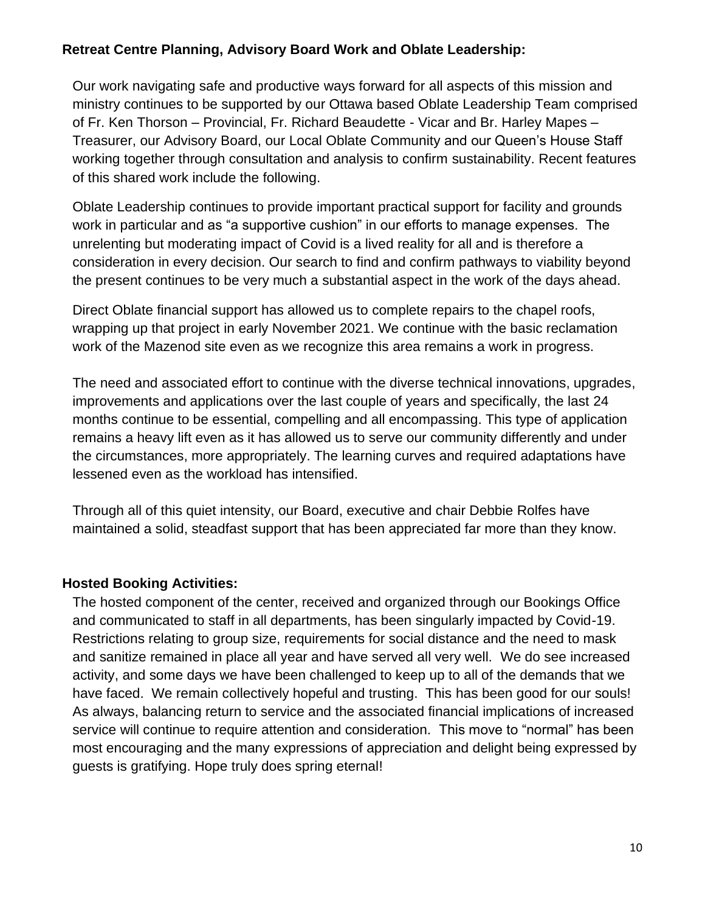#### **Retreat Centre Planning, Advisory Board Work and Oblate Leadership:**

Our work navigating safe and productive ways forward for all aspects of this mission and ministry continues to be supported by our Ottawa based Oblate Leadership Team comprised of Fr. Ken Thorson – Provincial, Fr. Richard Beaudette - Vicar and Br. Harley Mapes – Treasurer, our Advisory Board, our Local Oblate Community and our Queen's House Staff working together through consultation and analysis to confirm sustainability. Recent features of this shared work include the following.

Oblate Leadership continues to provide important practical support for facility and grounds work in particular and as "a supportive cushion" in our efforts to manage expenses. The unrelenting but moderating impact of Covid is a lived reality for all and is therefore a consideration in every decision. Our search to find and confirm pathways to viability beyond the present continues to be very much a substantial aspect in the work of the days ahead.

Direct Oblate financial support has allowed us to complete repairs to the chapel roofs, wrapping up that project in early November 2021. We continue with the basic reclamation work of the Mazenod site even as we recognize this area remains a work in progress.

The need and associated effort to continue with the diverse technical innovations, upgrades, improvements and applications over the last couple of years and specifically, the last 24 months continue to be essential, compelling and all encompassing. This type of application remains a heavy lift even as it has allowed us to serve our community differently and under the circumstances, more appropriately. The learning curves and required adaptations have lessened even as the workload has intensified.

Through all of this quiet intensity, our Board, executive and chair Debbie Rolfes have maintained a solid, steadfast support that has been appreciated far more than they know.

#### **Hosted Booking Activities:**

The hosted component of the center, received and organized through our Bookings Office and communicated to staff in all departments, has been singularly impacted by Covid-19. Restrictions relating to group size, requirements for social distance and the need to mask and sanitize remained in place all year and have served all very well. We do see increased activity, and some days we have been challenged to keep up to all of the demands that we have faced. We remain collectively hopeful and trusting. This has been good for our souls! As always, balancing return to service and the associated financial implications of increased service will continue to require attention and consideration. This move to "normal" has been most encouraging and the many expressions of appreciation and delight being expressed by guests is gratifying. Hope truly does spring eternal!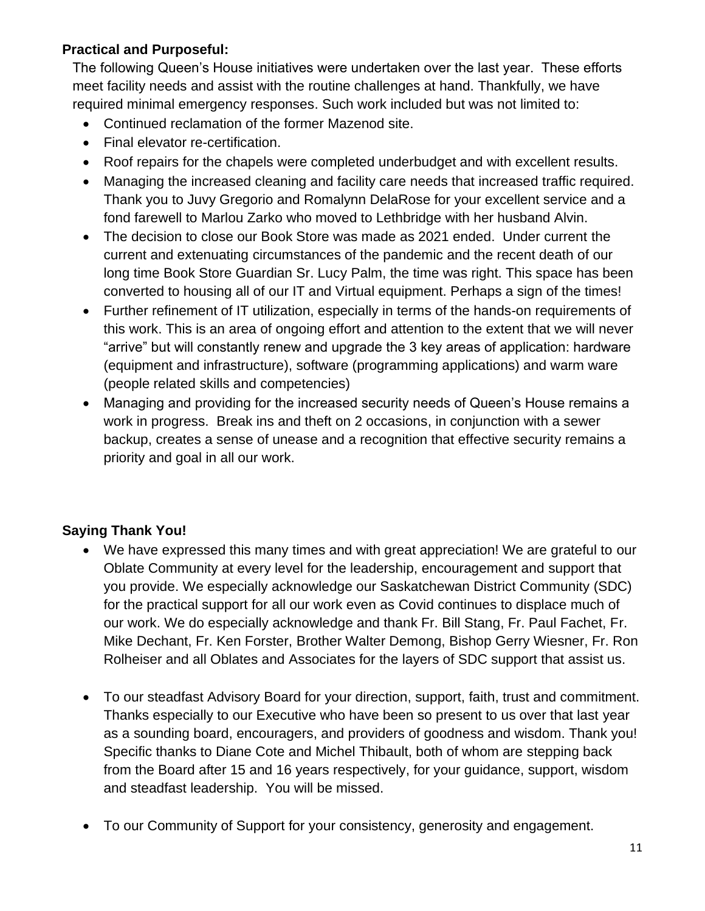#### **Practical and Purposeful:**

The following Queen's House initiatives were undertaken over the last year. These efforts meet facility needs and assist with the routine challenges at hand. Thankfully, we have required minimal emergency responses. Such work included but was not limited to:

- Continued reclamation of the former Mazenod site.
- Final elevator re-certification.
- Roof repairs for the chapels were completed underbudget and with excellent results.
- Managing the increased cleaning and facility care needs that increased traffic required. Thank you to Juvy Gregorio and Romalynn DelaRose for your excellent service and a fond farewell to Marlou Zarko who moved to Lethbridge with her husband Alvin.
- The decision to close our Book Store was made as 2021 ended. Under current the current and extenuating circumstances of the pandemic and the recent death of our long time Book Store Guardian Sr. Lucy Palm, the time was right. This space has been converted to housing all of our IT and Virtual equipment. Perhaps a sign of the times!
- Further refinement of IT utilization, especially in terms of the hands-on requirements of this work. This is an area of ongoing effort and attention to the extent that we will never "arrive" but will constantly renew and upgrade the 3 key areas of application: hardware (equipment and infrastructure), software (programming applications) and warm ware (people related skills and competencies)
- Managing and providing for the increased security needs of Queen's House remains a work in progress. Break ins and theft on 2 occasions, in conjunction with a sewer backup, creates a sense of unease and a recognition that effective security remains a priority and goal in all our work.

#### **Saying Thank You!**

- We have expressed this many times and with great appreciation! We are grateful to our Oblate Community at every level for the leadership, encouragement and support that you provide. We especially acknowledge our Saskatchewan District Community (SDC) for the practical support for all our work even as Covid continues to displace much of our work. We do especially acknowledge and thank Fr. Bill Stang, Fr. Paul Fachet, Fr. Mike Dechant, Fr. Ken Forster, Brother Walter Demong, Bishop Gerry Wiesner, Fr. Ron Rolheiser and all Oblates and Associates for the layers of SDC support that assist us.
- To our steadfast Advisory Board for your direction, support, faith, trust and commitment. Thanks especially to our Executive who have been so present to us over that last year as a sounding board, encouragers, and providers of goodness and wisdom. Thank you! Specific thanks to Diane Cote and Michel Thibault, both of whom are stepping back from the Board after 15 and 16 years respectively, for your guidance, support, wisdom and steadfast leadership. You will be missed.
- To our Community of Support for your consistency, generosity and engagement.